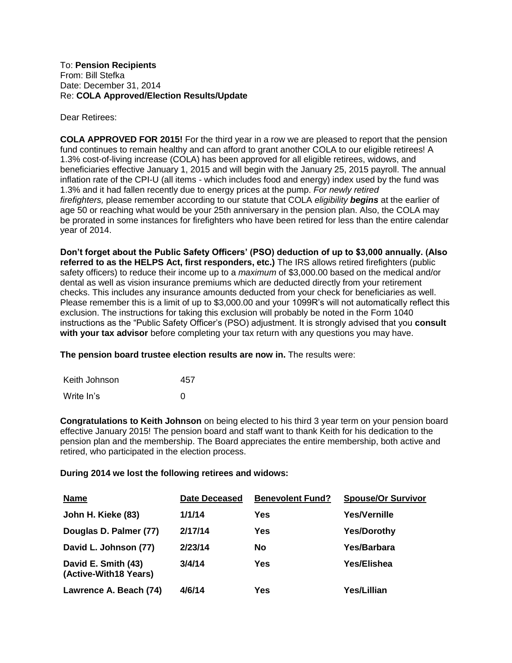To: **Pension Recipients** From: Bill Stefka Date: December 31, 2014 Re: **COLA Approved/Election Results/Update**

Dear Retirees:

**COLA APPROVED FOR 2015!** For the third year in a row we are pleased to report that the pension fund continues to remain healthy and can afford to grant another COLA to our eligible retirees! A 1.3% cost-of-living increase (COLA) has been approved for all eligible retirees, widows, and beneficiaries effective January 1, 2015 and will begin with the January 25, 2015 payroll. The annual inflation rate of the CPI-U (all items - which includes food and energy) index used by the fund was 1.3% and it had fallen recently due to energy prices at the pump. *For newly retired firefighters,* please remember according to our statute that COLA *eligibility begins* at the earlier of age 50 or reaching what would be your 25th anniversary in the pension plan. Also, the COLA may be prorated in some instances for firefighters who have been retired for less than the entire calendar year of 2014.

**Don't forget about the Public Safety Officers' (PSO) deduction of up to \$3,000 annually. (Also referred to as the HELPS Act, first responders, etc.)** The IRS allows retired firefighters (public safety officers) to reduce their income up to a *maximum* of \$3,000.00 based on the medical and/or dental as well as vision insurance premiums which are deducted directly from your retirement checks. This includes any insurance amounts deducted from your check for beneficiaries as well. Please remember this is a limit of up to \$3,000.00 and your 1099R's will not automatically reflect this exclusion. The instructions for taking this exclusion will probably be noted in the Form 1040 instructions as the "Public Safety Officer's (PSO) adjustment. It is strongly advised that you **consult with your tax advisor** before completing your tax return with any questions you may have.

**The pension board trustee election results are now in.** The results were:

| Keith Johnson | 457 |
|---------------|-----|
| Write In's    | ∩   |

**Congratulations to Keith Johnson** on being elected to his third 3 year term on your pension board effective January 2015! The pension board and staff want to thank Keith for his dedication to the pension plan and the membership. The Board appreciates the entire membership, both active and retired, who participated in the election process.

## **During 2014 we lost the following retirees and widows:**

| <b>Name</b>                                  | <b>Date Deceased</b> | <b>Benevolent Fund?</b> | <b>Spouse/Or Survivor</b> |
|----------------------------------------------|----------------------|-------------------------|---------------------------|
| John H. Kieke (83)                           | 1/1/14               | Yes                     | <b>Yes/Vernille</b>       |
| Douglas D. Palmer (77)                       | 2/17/14              | Yes                     | <b>Yes/Dorothy</b>        |
| David L. Johnson (77)                        | 2/23/14              | No                      | Yes/Barbara               |
| David E. Smith (43)<br>(Active-With18 Years) | 3/4/14               | Yes                     | <b>Yes/Elishea</b>        |
| Lawrence A. Beach (74)                       | 4/6/14               | Yes                     | Yes/Lillian               |